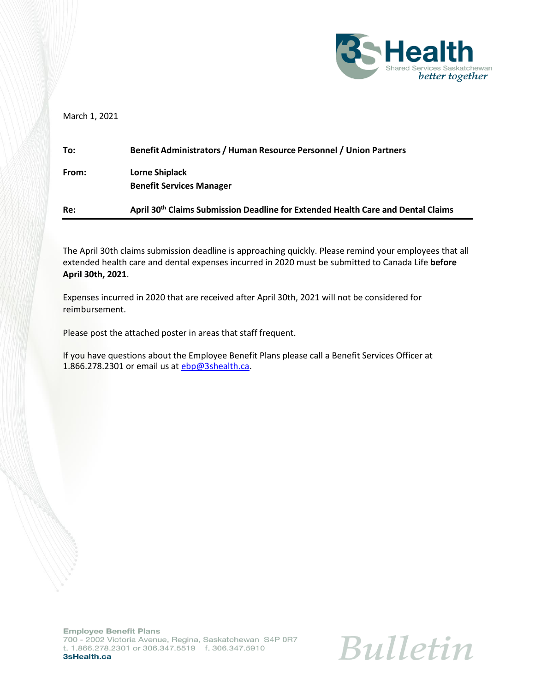

March 1, 2021

| Re:   | April 30 <sup>th</sup> Claims Submission Deadline for Extended Health Care and Dental Claims |
|-------|----------------------------------------------------------------------------------------------|
| From: | Lorne Shiplack<br><b>Benefit Services Manager</b>                                            |
| To:   | Benefit Administrators / Human Resource Personnel / Union Partners                           |

The April 30th claims submission deadline is approaching quickly. Please remind your employees that all extended health care and dental expenses incurred in 2020 must be submitted to Canada Life **before April 30th, 2021**.

Expenses incurred in 2020 that are received after April 30th, 2021 will not be considered for reimbursement.

Please post the attached poster in areas that staff frequent.

If you have questions about the Employee Benefit Plans please call a Benefit Services Officer at 1.866.278.2301 or email us at [ebp@3shealth.ca.](mailto:ebp@3shealth.ca)